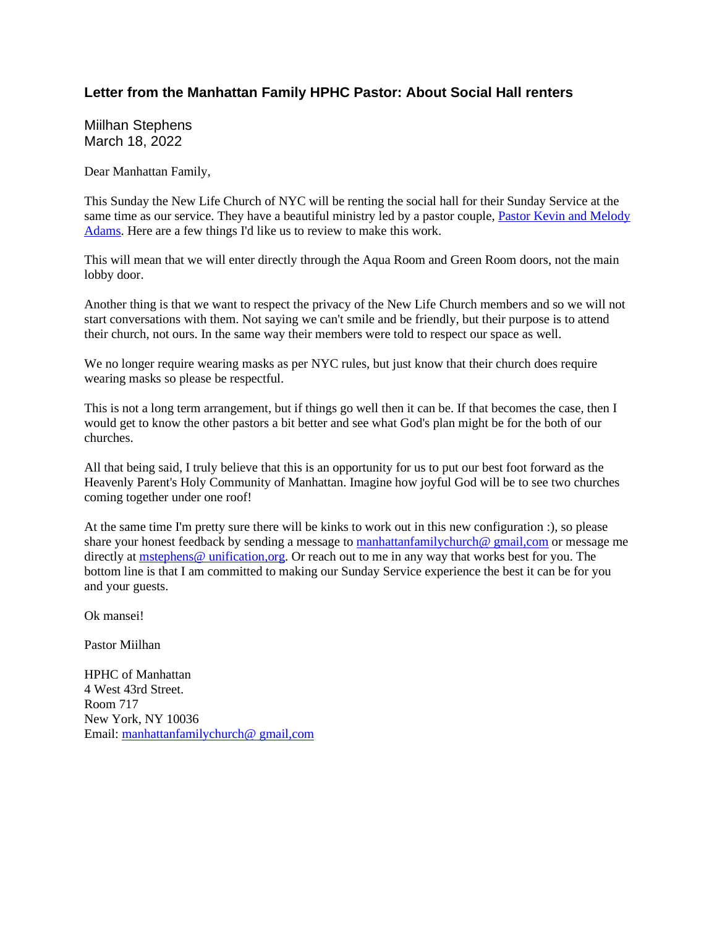## **Letter from the Manhattan Family HPHC Pastor: About Social Hall renters**

Miilhan Stephens March 18, 2022

Dear Manhattan Family,

This Sunday the New Life Church of NYC will be renting the social hall for their Sunday Service at the same time as our service. They have a beautiful ministry led by a pastor couple, Pastor Kevin and Melody Adams. Here are a few things I'd like us to review to make this work.

This will mean that we will enter directly through the Aqua Room and Green Room doors, not the main lobby door.

Another thing is that we want to respect the privacy of the New Life Church members and so we will not start conversations with them. Not saying we can't smile and be friendly, but their purpose is to attend their church, not ours. In the same way their members were told to respect our space as well.

We no longer require wearing masks as per NYC rules, but just know that their church does require wearing masks so please be respectful.

This is not a long term arrangement, but if things go well then it can be. If that becomes the case, then I would get to know the other pastors a bit better and see what God's plan might be for the both of our churches.

All that being said, I truly believe that this is an opportunity for us to put our best foot forward as the Heavenly Parent's Holy Community of Manhattan. Imagine how joyful God will be to see two churches coming together under one roof!

At the same time I'm pretty sure there will be kinks to work out in this new configuration :), so please share your honest feedback by sending a message to manhattanfamilychurch@ gmail,com or message me directly at mstephens@ unification,org. Or reach out to me in any way that works best for you. The bottom line is that I am committed to making our Sunday Service experience the best it can be for you and your guests.

Ok mansei!

Pastor Miilhan

HPHC of Manhattan 4 West 43rd Street. Room 717 New York, NY 10036 Email: manhattanfamilychurch@ gmail,com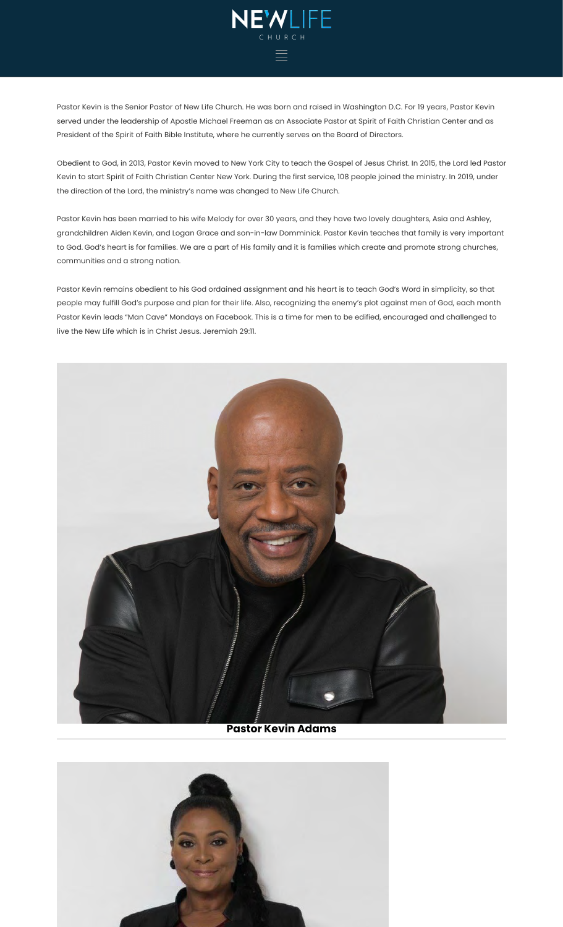

Pastor Kevin is the Senior Pastor of New Life Church. He was born and raised in Washington D.C. For 19 years, Pastor Kevin served under the leadership of Apostle Michael Freeman as an Associate Pastor at Spirit of Faith Christian Center and as President of the Spirit of Faith Bible Institute, where he currently serves on the Board of Directors.

Obedient to God, in 2013, Pastor Kevin moved to New York City to teach the Gospel of Jesus Christ. In 2015, the Lord led Pastor Kevin to start Spirit of Faith Christian Center New York. During the first service, 108 people joined the ministry. In 2019, under the direction of the Lord, the ministry's name was changed to New Life Church.

Pastor Kevin has been married to his wife Melody for over 30 years, and they have two lovely daughters, Asia and Ashley, grandchildren Aiden Kevin, and Logan Grace and son-in-law Domminick. Pastor Kevin teaches that family is very important to God. God's heart is for families. We are a part of His family and it is families which create and promote strong churches, communities and a strong nation.

Pastor Kevin remains obedient to his God ordained assignment and his heart is to teach God's Word in simplicity, so that people may fulfill God's purpose and plan for their life. Also, recognizing the enemy's plot against men of God, each month Pastor Kevin leads "Man Cave" Mondays on Facebook. This is a time for men to be edified, encouraged and challenged to live the New Life which is in Christ Jesus. Jeremiah 29:11.



**Pastor Kevin Adams**

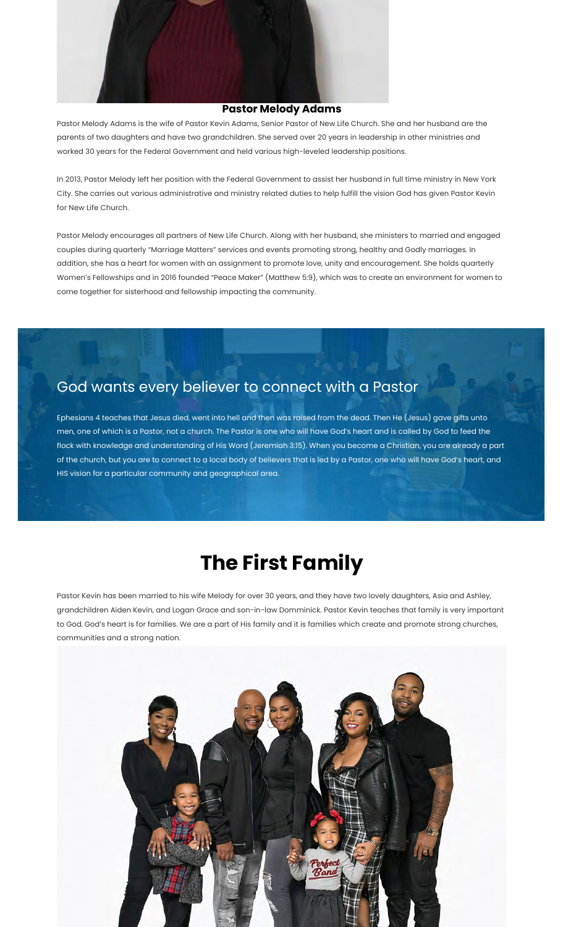

## **Pastor Melody Adams**

Pastor Melody Adams is the wife of Pastor Kevin Adams, Senior Pastor of New Life Church. She and her husband are the parents of two daughters and have two grandchildren. She served over 20 years in leadership in other ministries and worked 30 years for the Federal Government and held various high-leveled leadership positions.

In 2013, Pastor Melody left her position with the Federal Government to assist her husband in full time ministry in New York City. She carries out various administrative and ministry related duties to help fulfill the vision God has given Pastor Kevin for New Life Church.

Pastor Melody encourages all partners of New Life Church. Along with her husband, she ministers to married and engaged couples during quarterly "Marriage Matters" services and events promoting strong, healthy and Godly marriages. In addition, she has a heart for women with an assignment to promote love, unity and encouragement. She holds quarterly Women's Fellowships and in 2016 founded "Peace Maker" (Matthew 5:9), which was to create an environment for women to come together for sisterhood and fellowship impacting the community.

## God wants every believer to connect with a Pastor

Ephesians 4 teaches that Jesus died, went into hell and then was raised from the dead. Then He (Jesus) gave gifts unto men, one of which is a Pastor, not a church. The Pastor is one who will have God's heart and is called by God to feed the flock with knowledge and understanding of His Word (Jeremiah 3:15). When you become a Christian, you are already a part of the church, but you are to connect to a local body of believers that is led by a Pastor, one who will have God's heart, and HIS vision for a particular community and geographical area.

## **The First Family**

Pastor Kevin has been married to his wife Melody for over 30 years, and they have two lovely daughters, Asia and Ashley, grandchildren Aiden Kevin, and Logan Grace and son-in-law Domminick. Pastor Kevin teaches that family is very important to God. God's heart is for families. We are a part of His family and it is families which create and promote strong churches, communities and a strong nation.